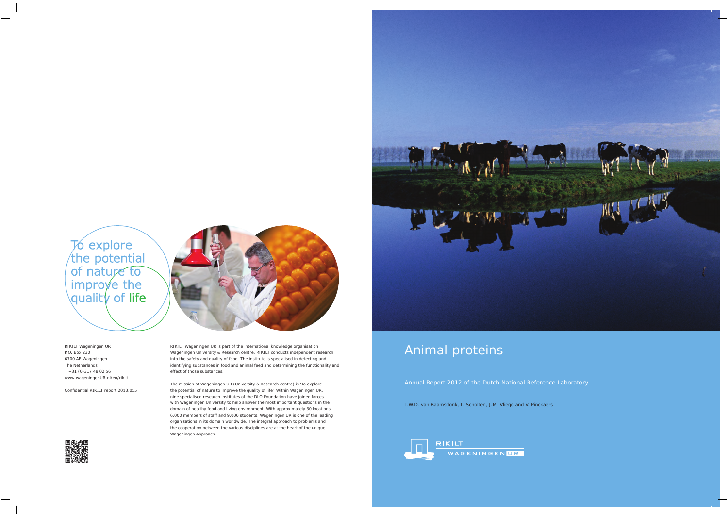

# Animal proteins

Annual Report 2012 of the Dutch National Reference Laboratory

L.W.D. van Raamsdonk, I. Scholten, J.M. Vliege and V. Pinckaers

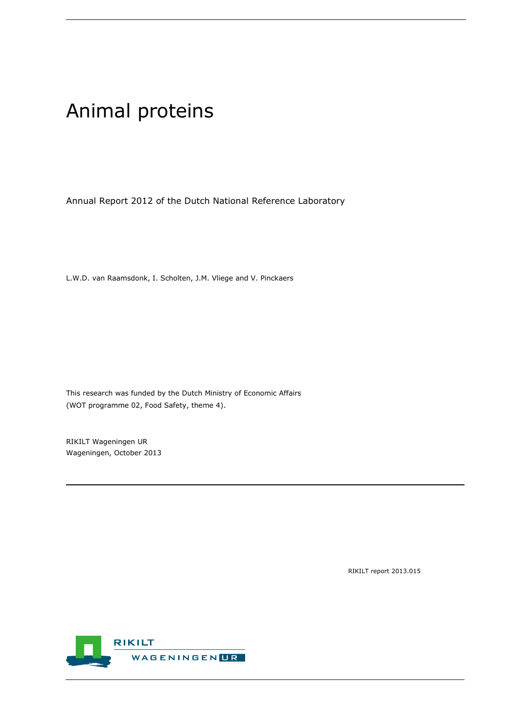# Animal proteins

Annual Report 2012 of the Dutch National Reference Laboratory

L.W.D. van Raamsdonk, I. Scholten, J.M. Vliege and V. Pinckaers

This research was funded by the Dutch Ministry of Economic Affairs (WOT programme 02, Food Safety, theme 4).

RIKILT Wageningen UR Wageningen, October 2013

RIKILT report 2013.015

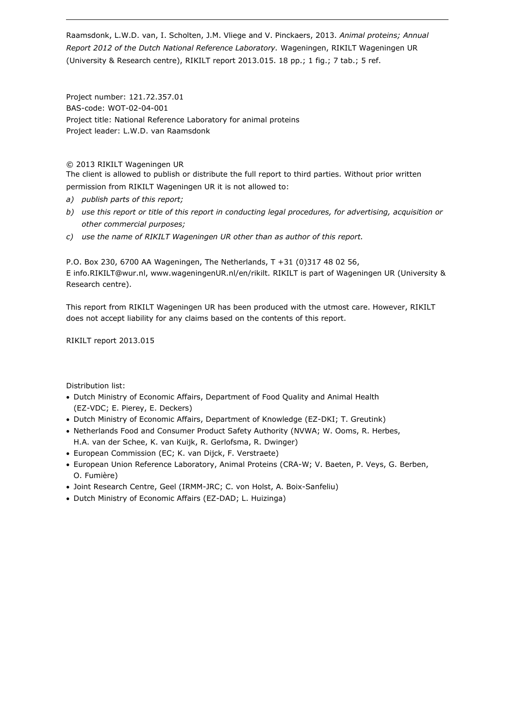Raamsdonk, L.W.D. van, I. Scholten, J.M. Vliege and V. Pinckaers, 2013. *Animal proteins; Annual Report 2012 of the Dutch National Reference Laboratory.* Wageningen, RIKILT Wageningen UR (University & Research centre), RIKILT report 2013.015. 18 pp.; 1 fig.; 7 tab.; 5 ref.

Project number: 121.72.357.01 BAS-code: WOT-02-04-001 Project title: National Reference Laboratory for animal proteins Project leader: L.W.D. van Raamsdonk

#### © 2013 RIKILT Wageningen UR

The client is allowed to publish or distribute the full report to third parties. Without prior written permission from RIKILT Wageningen UR it is not allowed to:

- *a) publish parts of this report;*
- *b) use this report or title of this report in conducting legal procedures, for advertising, acquisition or other commercial purposes;*
- *c) use the name of RIKILT Wageningen UR other than as author of this report.*

P.O. Box 230, 6700 AA Wageningen, The Netherlands, T +31 (0)317 48 02 56, E [info.RIKILT@wur.nl,](mailto:info.RIKILT@wur.nl) [www.wageningenUR.nl/en/rikilt.](http://www.wageningenur.nl/en/rikilt) RIKILT is part of Wageningen UR (University & Research centre).

This report from RIKILT Wageningen UR has been produced with the utmost care. However, RIKILT does not accept liability for any claims based on the contents of this report.

RIKILT report 2013.015

Distribution list:

- Dutch Ministry of Economic Affairs, Department of Food Quality and Animal Health (EZ-VDC; E. Pierey, E. Deckers)
- Dutch Ministry of Economic Affairs, Department of Knowledge (EZ-DKI; T. Greutink)
- Netherlands Food and Consumer Product Safety Authority (NVWA; W. Ooms, R. Herbes, H.A. van der Schee, K. van Kuijk, R. Gerlofsma, R. Dwinger)
- European Commission (EC; K. van Dijck, F. Verstraete)
- European Union Reference Laboratory, Animal Proteins (CRA-W; V. Baeten, P. Veys, G. Berben, O. Fumière)
- Joint Research Centre, Geel (IRMM-JRC; C. von Holst, A. Boix-Sanfeliu)
- Dutch Ministry of Economic Affairs (EZ-DAD; L. Huizinga)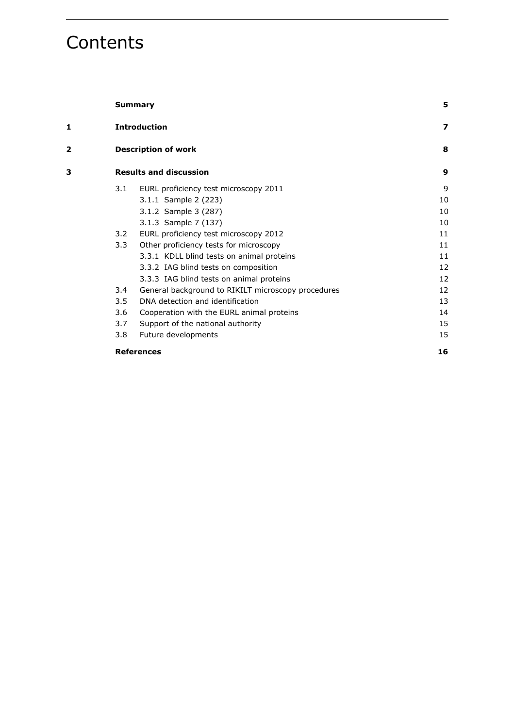# **Contents**

|   |               | <b>Summary</b>                                     | 5  |
|---|---------------|----------------------------------------------------|----|
| 1 |               | <b>Introduction</b>                                | 7  |
| 2 |               | <b>Description of work</b>                         | 8  |
| 3 |               | <b>Results and discussion</b>                      | 9  |
|   | 3.1           | EURL proficiency test microscopy 2011              | 9  |
|   |               | 3.1.1 Sample 2 (223)                               | 10 |
|   |               | 3.1.2 Sample 3 (287)                               | 10 |
|   |               | 3.1.3 Sample 7 (137)                               | 10 |
|   | 3.2           | EURL proficiency test microscopy 2012              | 11 |
|   | $3.3 -$       | Other proficiency tests for microscopy             | 11 |
|   |               | 3.3.1 KDLL blind tests on animal proteins          | 11 |
|   |               | 3.3.2 IAG blind tests on composition               | 12 |
|   |               | 3.3.3 IAG blind tests on animal proteins           | 12 |
|   | $3.4^{\circ}$ | General background to RIKILT microscopy procedures | 12 |
|   | 3.5           | DNA detection and identification                   | 13 |
|   | 3.6           | Cooperation with the EURL animal proteins          | 14 |
|   | 3.7           | Support of the national authority                  | 15 |
|   | 3.8           | Future developments                                | 15 |
|   |               | <b>References</b>                                  | 16 |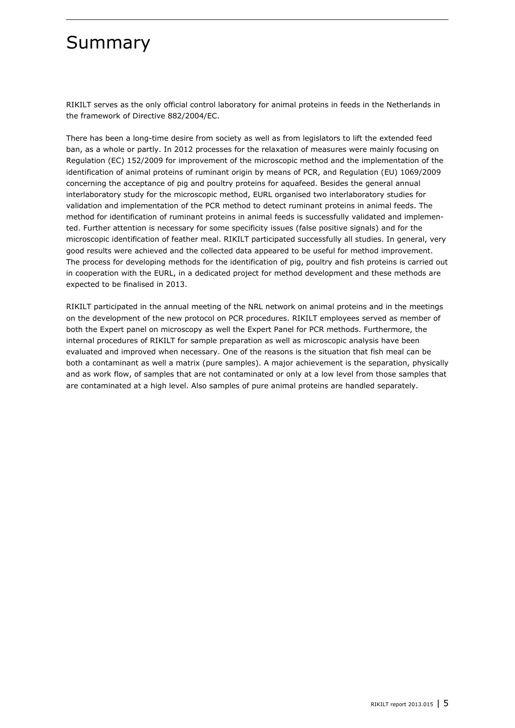## <span id="page-6-0"></span>Summary

RIKILT serves as the only official control laboratory for animal proteins in feeds in the Netherlands in the framework of Directive 882/2004/EC.

There has been a long-time desire from society as well as from legislators to lift the extended feed ban, as a whole or partly. In 2012 processes for the relaxation of measures were mainly focusing on Regulation (EC) 152/2009 for improvement of the microscopic method and the implementation of the identification of animal proteins of ruminant origin by means of PCR, and Regulation (EU) 1069/2009 concerning the acceptance of pig and poultry proteins for aquafeed. Besides the general annual interlaboratory study for the microscopic method, EURL organised two interlaboratory studies for validation and implementation of the PCR method to detect ruminant proteins in animal feeds. The method for identification of ruminant proteins in animal feeds is successfully validated and implemented. Further attention is necessary for some specificity issues (false positive signals) and for the microscopic identification of feather meal. RIKILT participated successfully all studies. In general, very good results were achieved and the collected data appeared to be useful for method improvement. The process for developing methods for the identification of pig, poultry and fish proteins is carried out in cooperation with the EURL, in a dedicated project for method development and these methods are expected to be finalised in 2013.

RIKILT participated in the annual meeting of the NRL network on animal proteins and in the meetings on the development of the new protocol on PCR procedures. RIKILT employees served as member of both the Expert panel on microscopy as well the Expert Panel for PCR methods. Furthermore, the internal procedures of RIKILT for sample preparation as well as microscopic analysis have been evaluated and improved when necessary. One of the reasons is the situation that fish meal can be both a contaminant as well a matrix (pure samples). A major achievement is the separation, physically and as work flow, of samples that are not contaminated or only at a low level from those samples that are contaminated at a high level. Also samples of pure animal proteins are handled separately.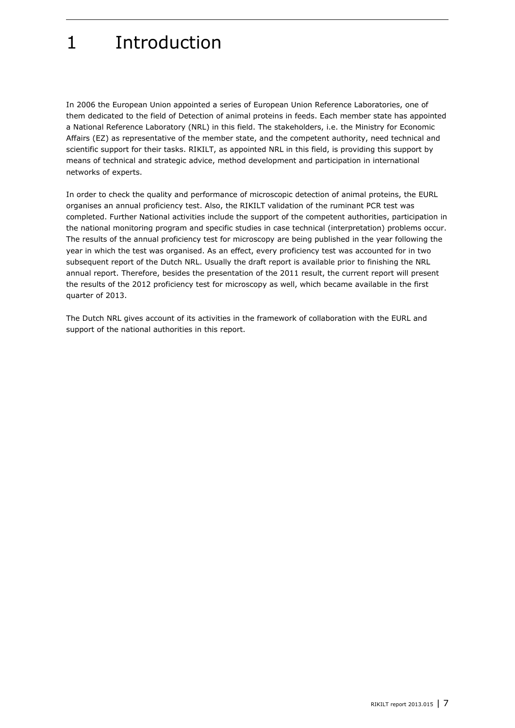# <span id="page-8-0"></span>1 Introduction

In 2006 the European Union appointed a series of European Union Reference Laboratories, one of them dedicated to the field of Detection of animal proteins in feeds. Each member state has appointed a National Reference Laboratory (NRL) in this field. The stakeholders, i.e. the Ministry for Economic Affairs (EZ) as representative of the member state, and the competent authority, need technical and scientific support for their tasks. RIKILT, as appointed NRL in this field, is providing this support by means of technical and strategic advice, method development and participation in international networks of experts.

In order to check the quality and performance of microscopic detection of animal proteins, the EURL organises an annual proficiency test. Also, the RIKILT validation of the ruminant PCR test was completed. Further National activities include the support of the competent authorities, participation in the national monitoring program and specific studies in case technical (interpretation) problems occur. The results of the annual proficiency test for microscopy are being published in the year following the year in which the test was organised. As an effect, every proficiency test was accounted for in two subsequent report of the Dutch NRL. Usually the draft report is available prior to finishing the NRL annual report. Therefore, besides the presentation of the 2011 result, the current report will present the results of the 2012 proficiency test for microscopy as well, which became available in the first quarter of 2013.

The Dutch NRL gives account of its activities in the framework of collaboration with the EURL and support of the national authorities in this report.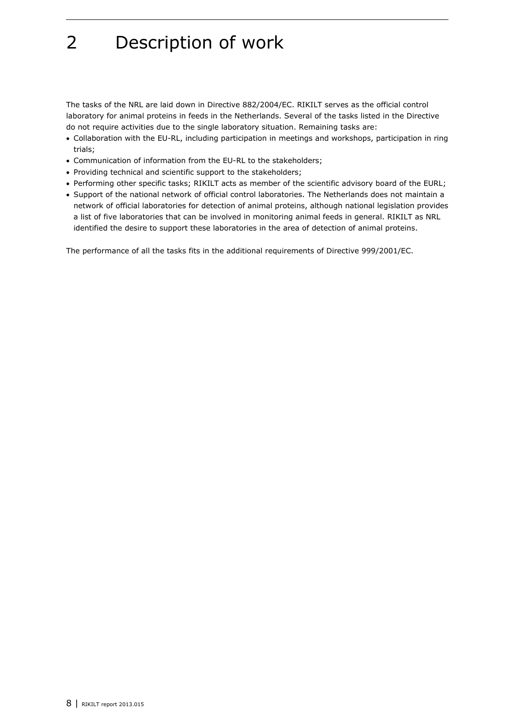# <span id="page-9-0"></span>2 Description of work

The tasks of the NRL are laid down in Directive 882/2004/EC. RIKILT serves as the official control laboratory for animal proteins in feeds in the Netherlands. Several of the tasks listed in the Directive do not require activities due to the single laboratory situation. Remaining tasks are:

- Collaboration with the EU-RL, including participation in meetings and workshops, participation in ring trials;
- Communication of information from the EU-RL to the stakeholders;
- Providing technical and scientific support to the stakeholders;
- Performing other specific tasks; RIKILT acts as member of the scientific advisory board of the EURL;
- Support of the national network of official control laboratories. The Netherlands does not maintain a network of official laboratories for detection of animal proteins, although national legislation provides a list of five laboratories that can be involved in monitoring animal feeds in general. RIKILT as NRL identified the desire to support these laboratories in the area of detection of animal proteins.

The performance of all the tasks fits in the additional requirements of Directive 999/2001/EC.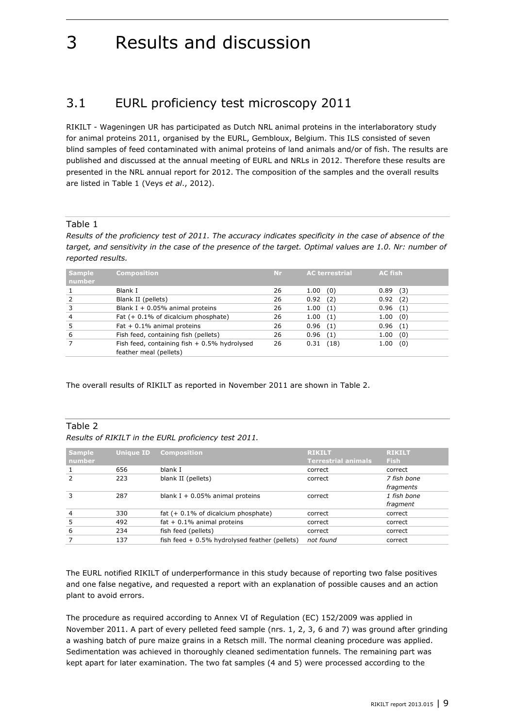## <span id="page-10-0"></span>3 Results and discussion

### <span id="page-10-1"></span>3.1 EURL proficiency test microscopy 2011

RIKILT - Wageningen UR has participated as Dutch NRL animal proteins in the interlaboratory study for animal proteins 2011, organised by the EURL, Gembloux, Belgium. This ILS consisted of seven blind samples of feed contaminated with animal proteins of land animals and/or of fish. The results are published and discussed at the annual meeting of EURL and NRLs in 2012. Therefore these results are presented in the NRL annual report for 2012. The composition of the samples and the overall results are listed in Table 1 (Veys *et al*., 2012).

#### Table 1

*Results of the proficiency test of 2011. The accuracy indicates specificity in the case of absence of the target, and sensitivity in the case of the presence of the target. Optimal values are 1.0. Nr: number of reported results.*

| <b>Sample</b><br>number | <b>Composition</b>                            | <b>Nr</b> | <b>AC terrestrial</b> | <b>AC fish</b> |
|-------------------------|-----------------------------------------------|-----------|-----------------------|----------------|
|                         | Blank I                                       | 26        | 1.00<br>(0)           | 0.89<br>(3)    |
|                         | Blank II (pellets)                            | 26        | 0.92<br>(2)           | 0.92(2)        |
|                         | Blank I + $0.05\%$ animal proteins            | 26        | 1.00<br>(1)           | 0.96(1)        |
| $\overline{4}$          | Fat $(+ 0.1\%$ of dicalcium phosphate)        | 26        | 1.00<br>(1)           | 1.00<br>(0)    |
|                         | Fat $+0.1\%$ animal proteins                  | 26        | (1)<br>0.96           | 0.96<br>(1)    |
| 6                       | Fish feed, containing fish (pellets)          | 26        | 0.96<br>(1)           | (0)<br>1.00    |
|                         | Fish feed, containing fish $+0.5%$ hydrolysed | 26        | (18)<br>0.31          | (0)<br>1.00    |
|                         | feather meal (pellets)                        |           |                       |                |

The overall results of RIKILT as reported in November 2011 are shown in Table 2.

### Table 2

#### *Results of RIKILT in the EURL proficiency test 2011.*

| <b>Sample</b>  | <b>Unique ID</b> | <b>Composition</b>                              | <b>RIKILT</b>              | <b>RIKILT</b> |
|----------------|------------------|-------------------------------------------------|----------------------------|---------------|
| number         |                  |                                                 | <b>Terrestrial animals</b> | <b>Fish</b>   |
|                | 656              | blank I                                         | correct                    | correct       |
|                | 223              | blank II (pellets)                              | correct                    | 7 fish bone   |
|                |                  |                                                 |                            | fragments     |
| 3              | 287              | blank $I + 0.05%$ animal proteins               | correct                    | 1 fish bone   |
|                |                  |                                                 |                            | fragment      |
| $\overline{4}$ | 330              | fat $(+ 0.1\%$ of dicalcium phosphate)          | correct                    | correct       |
| 5              | 492              | fat $+0.1\%$ animal proteins                    | correct                    | correct       |
| 6              | 234              | fish feed (pellets)                             | correct                    | correct       |
|                | 137              | fish feed $+0.5\%$ hydrolysed feather (pellets) | not found                  | correct       |

The EURL notified RIKILT of underperformance in this study because of reporting two false positives and one false negative, and requested a report with an explanation of possible causes and an action plant to avoid errors.

The procedure as required according to Annex VI of Regulation (EC) 152/2009 was applied in November 2011. A part of every pelleted feed sample (nrs. 1, 2, 3, 6 and 7) was ground after grinding a washing batch of pure maize grains in a Retsch mill. The normal cleaning procedure was applied. Sedimentation was achieved in thoroughly cleaned sedimentation funnels. The remaining part was kept apart for later examination. The two fat samples (4 and 5) were processed according to the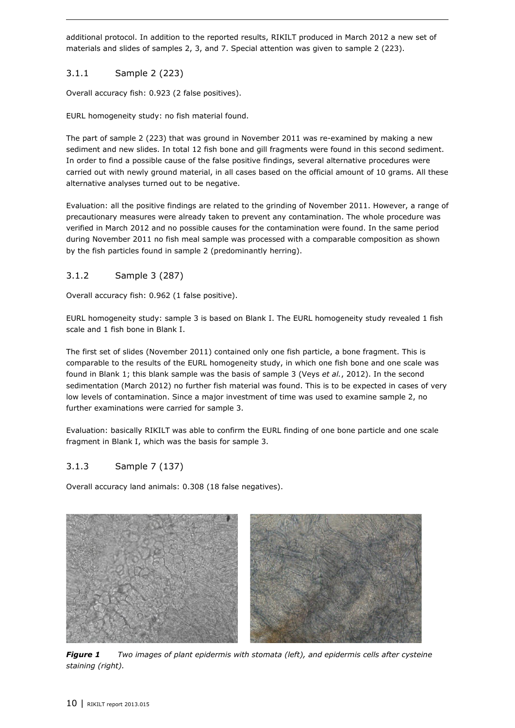additional protocol. In addition to the reported results, RIKILT produced in March 2012 a new set of materials and slides of samples 2, 3, and 7. Special attention was given to sample 2 (223).

### <span id="page-11-0"></span>3.1.1 Sample 2 (223)

Overall accuracy fish: 0.923 (2 false positives).

EURL homogeneity study: no fish material found.

The part of sample 2 (223) that was ground in November 2011 was re-examined by making a new sediment and new slides. In total 12 fish bone and gill fragments were found in this second sediment. In order to find a possible cause of the false positive findings, several alternative procedures were carried out with newly ground material, in all cases based on the official amount of 10 grams. All these alternative analyses turned out to be negative.

Evaluation: all the positive findings are related to the grinding of November 2011. However, a range of precautionary measures were already taken to prevent any contamination. The whole procedure was verified in March 2012 and no possible causes for the contamination were found. In the same period during November 2011 no fish meal sample was processed with a comparable composition as shown by the fish particles found in sample 2 (predominantly herring).

### <span id="page-11-1"></span>3.1.2 Sample 3 (287)

Overall accuracy fish: 0.962 (1 false positive).

EURL homogeneity study: sample 3 is based on Blank I. The EURL homogeneity study revealed 1 fish scale and 1 fish bone in Blank I.

The first set of slides (November 2011) contained only one fish particle, a bone fragment. This is comparable to the results of the EURL homogeneity study, in which one fish bone and one scale was found in Blank 1; this blank sample was the basis of sample 3 (Veys *et al.*, 2012). In the second sedimentation (March 2012) no further fish material was found. This is to be expected in cases of very low levels of contamination. Since a major investment of time was used to examine sample 2, no further examinations were carried for sample 3.

Evaluation: basically RIKILT was able to confirm the EURL finding of one bone particle and one scale fragment in Blank I, which was the basis for sample 3.

### <span id="page-11-2"></span>3.1.3 Sample 7 (137)

Overall accuracy land animals: 0.308 (18 false negatives).



*Figure 1 Two images of plant epidermis with stomata (left), and epidermis cells after cysteine staining (right).*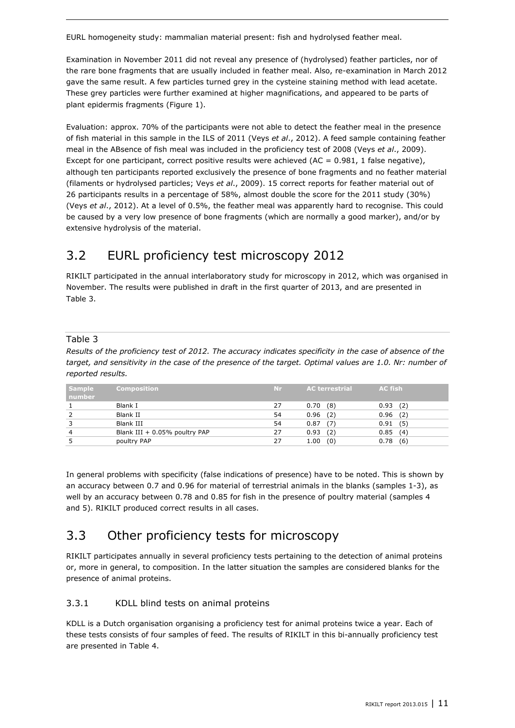EURL homogeneity study: mammalian material present: fish and hydrolysed feather meal.

Examination in November 2011 did not reveal any presence of (hydrolysed) feather particles, nor of the rare bone fragments that are usually included in feather meal. Also, re-examination in March 2012 gave the same result. A few particles turned grey in the cysteine staining method with lead acetate. These grey particles were further examined at higher magnifications, and appeared to be parts of plant epidermis fragments (Figure 1).

Evaluation: approx. 70% of the participants were not able to detect the feather meal in the presence of fish material in this sample in the ILS of 2011 (Veys *et al*., 2012). A feed sample containing feather meal in the ABsence of fish meal was included in the proficiency test of 2008 (Veys *et al*., 2009). Except for one participant, correct positive results were achieved ( $AC = 0.981$ , 1 false negative), although ten participants reported exclusively the presence of bone fragments and no feather material (filaments or hydrolysed particles; Veys *et al*., 2009). 15 correct reports for feather material out of 26 participants results in a percentage of 58%, almost double the score for the 2011 study (30%) (Veys *et al*., 2012). At a level of 0.5%, the feather meal was apparently hard to recognise. This could be caused by a very low presence of bone fragments (which are normally a good marker), and/or by extensive hydrolysis of the material.

## <span id="page-12-0"></span>3.2 EURL proficiency test microscopy 2012

RIKILT participated in the annual interlaboratory study for microscopy in 2012, which was organised in November. The results were published in draft in the first quarter of 2013, and are presented in Table 3.

### Table 3

*Results of the proficiency test of 2012. The accuracy indicates specificity in the case of absence of the target, and sensitivity in the case of the presence of the target. Optimal values are 1.0. Nr: number of reported results.*

| <b>Sample</b><br>number | Composition                   | Nr. | <b>AC terrestrial</b> | <b>AC</b> fish |
|-------------------------|-------------------------------|-----|-----------------------|----------------|
|                         | Blank I                       | 27  | (8)<br>0.70           | 0.93(2)        |
|                         | Blank II                      | 54  | 0.96<br>(2)           | (2)<br>0.96    |
|                         | Blank III                     | 54  | (7)<br>0.87           | (5)<br>0.91    |
| $\overline{4}$          | Blank III + 0.05% poultry PAP | 27  | 0.93<br>(2)           | 0.85(4)        |
|                         | poultry PAP                   |     | 1.00<br>(0)           | (6)<br>0.78    |

In general problems with specificity (false indications of presence) have to be noted. This is shown by an accuracy between 0.7 and 0.96 for material of terrestrial animals in the blanks (samples 1-3), as well by an accuracy between 0.78 and 0.85 for fish in the presence of poultry material (samples 4 and 5). RIKILT produced correct results in all cases.

## <span id="page-12-1"></span>3.3 Other proficiency tests for microscopy

RIKILT participates annually in several proficiency tests pertaining to the detection of animal proteins or, more in general, to composition. In the latter situation the samples are considered blanks for the presence of animal proteins.

### <span id="page-12-2"></span>3.3.1 KDLL blind tests on animal proteins

KDLL is a Dutch organisation organising a proficiency test for animal proteins twice a year. Each of these tests consists of four samples of feed. The results of RIKILT in this bi-annually proficiency test are presented in Table 4.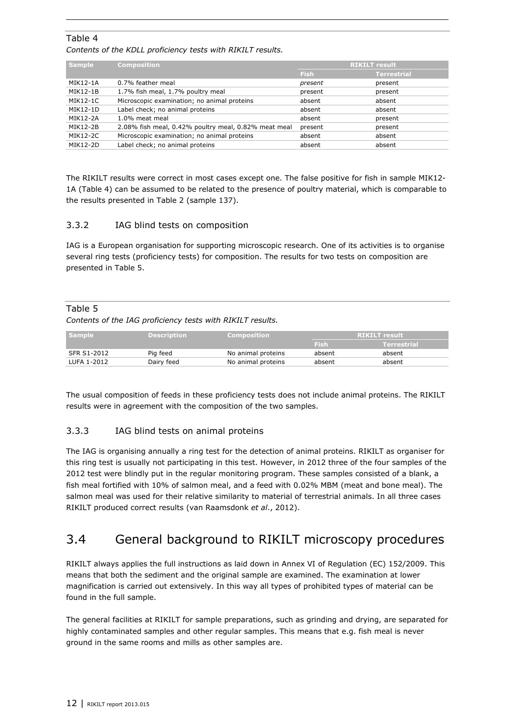#### Table 4

*Contents of the KDLL proficiency tests with RIKILT results.*

| <b>Sample</b>   | <b>Composition</b>                                   | <b>RIKILT</b> result |                    |  |
|-----------------|------------------------------------------------------|----------------------|--------------------|--|
|                 |                                                      | <b>Fish</b>          | <b>Terrestrial</b> |  |
| MIK12-1A        | 0.7% feather meal                                    | present              | present            |  |
| <b>MIK12-1B</b> | 1.7% fish meal, 1.7% poultry meal                    | present              | present            |  |
| MIK12-1C        | Microscopic examination; no animal proteins          | absent               | absent             |  |
| MIK12-1D        | Label check; no animal proteins                      | absent               | absent             |  |
| <b>MIK12-2A</b> | 1.0% meat meal                                       | absent               | present            |  |
| MIK12-2B        | 2.08% fish meal, 0.42% poultry meal, 0.82% meat meal | present              | present            |  |
| MIK12-2C        | Microscopic examination; no animal proteins          | absent               | absent             |  |
| MIK12-2D        | Label check; no animal proteins                      | absent               | absent             |  |

The RIKILT results were correct in most cases except one. The false positive for fish in sample MIK12- 1A (Table 4) can be assumed to be related to the presence of poultry material, which is comparable to the results presented in Table 2 (sample 137).

#### <span id="page-13-0"></span>3.3.2 IAG blind tests on composition

IAG is a European organisation for supporting microscopic research. One of its activities is to organise several ring tests (proficiency tests) for composition. The results for two tests on composition are presented in Table 5.

#### Table 5

*Contents of the IAG proficiency tests with RIKILT results.*

| <b>Sample</b> | <b>Description</b> | Composition        | <b>RIKILT</b> result |             |
|---------------|--------------------|--------------------|----------------------|-------------|
|               |                    |                    | / Fish/              | Terrestrial |
| SFR S1-2012   | Pig feed           | No animal proteins | absent               | absent      |
| LUFA 1-2012   | Dairy feed         | No animal proteins | absent               | absent      |

The usual composition of feeds in these proficiency tests does not include animal proteins. The RIKILT results were in agreement with the composition of the two samples.

### <span id="page-13-1"></span>3.3.3 IAG blind tests on animal proteins

The IAG is organising annually a ring test for the detection of animal proteins. RIKILT as organiser for this ring test is usually not participating in this test. However, in 2012 three of the four samples of the 2012 test were blindly put in the regular monitoring program. These samples consisted of a blank, a fish meal fortified with 10% of salmon meal, and a feed with 0.02% MBM (meat and bone meal). The salmon meal was used for their relative similarity to material of terrestrial animals. In all three cases RIKILT produced correct results (van Raamsdonk *et al*., 2012).

### <span id="page-13-2"></span>3.4 General background to RIKILT microscopy procedures

RIKILT always applies the full instructions as laid down in Annex VI of Regulation (EC) 152/2009. This means that both the sediment and the original sample are examined. The examination at lower magnification is carried out extensively. In this way all types of prohibited types of material can be found in the full sample.

The general facilities at RIKILT for sample preparations, such as grinding and drying, are separated for highly contaminated samples and other regular samples. This means that e.g. fish meal is never ground in the same rooms and mills as other samples are.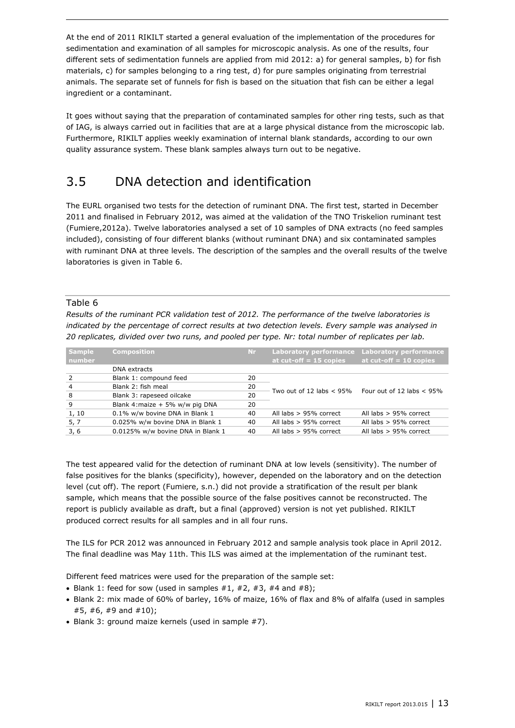At the end of 2011 RIKILT started a general evaluation of the implementation of the procedures for sedimentation and examination of all samples for microscopic analysis. As one of the results, four different sets of sedimentation funnels are applied from mid 2012: a) for general samples, b) for fish materials, c) for samples belonging to a ring test, d) for pure samples originating from terrestrial animals. The separate set of funnels for fish is based on the situation that fish can be either a legal ingredient or a contaminant.

It goes without saying that the preparation of contaminated samples for other ring tests, such as that of IAG, is always carried out in facilities that are at a large physical distance from the microscopic lab. Furthermore, RIKILT applies weekly examination of internal blank standards, according to our own quality assurance system. These blank samples always turn out to be negative.

## <span id="page-14-0"></span>3.5 DNA detection and identification

The EURL organised two tests for the detection of ruminant DNA. The first test, started in December 2011 and finalised in February 2012, was aimed at the validation of the TNO Triskelion ruminant test (Fumiere,2012a). Twelve laboratories analysed a set of 10 samples of DNA extracts (no feed samples included), consisting of four different blanks (without ruminant DNA) and six contaminated samples with ruminant DNA at three levels. The description of the samples and the overall results of the twelve laboratories is given in Table 6.

#### Table 6

*Results of the ruminant PCR validation test of 2012. The performance of the twelve laboratories is indicated by the percentage of correct results at two detection levels. Every sample was analysed in 20 replicates, divided over two runs, and pooled per type. Nr: total number of replicates per lab.*

| <b>Sample</b><br>number | <b>Composition</b>                | Nr. | <b>Laboratory performance</b><br>at cut-off $= 15$ copies | <b>Laboratory performance</b><br>at $cut-off = 10$ copies |  |
|-------------------------|-----------------------------------|-----|-----------------------------------------------------------|-----------------------------------------------------------|--|
|                         | DNA extracts                      |     |                                                           |                                                           |  |
| $\overline{2}$          | Blank 1: compound feed            | 20  |                                                           |                                                           |  |
| $\overline{4}$          | Blank 2: fish meal                | 20  | Two out of 12 labs $< 95\%$                               | Four out of 12 labs $< 95\%$                              |  |
| -8                      | Blank 3: rapeseed oilcake         | 20  |                                                           |                                                           |  |
| 9                       | Blank 4: maize + 5% w/w pig DNA   | 20  |                                                           |                                                           |  |
| 1, 10                   | 0.1% w/w bovine DNA in Blank 1    | 40  | All labs $> 95%$ correct                                  | All labs $> 95%$ correct                                  |  |
| 5, 7                    | 0.025% w/w bovine DNA in Blank 1  | 40  | All labs $> 95%$ correct                                  | All labs $> 95%$ correct                                  |  |
| 3,6                     | 0.0125% w/w bovine DNA in Blank 1 | 40  | All labs $> 95%$ correct                                  | All labs $> 95%$ correct                                  |  |

The test appeared valid for the detection of ruminant DNA at low levels (sensitivity). The number of false positives for the blanks (specificity), however, depended on the laboratory and on the detection level (cut off). The report (Fumiere, s.n.) did not provide a stratification of the result per blank sample, which means that the possible source of the false positives cannot be reconstructed. The report is publicly available as draft, but a final (approved) version is not yet published. RIKILT produced correct results for all samples and in all four runs.

The ILS for PCR 2012 was announced in February 2012 and sample analysis took place in April 2012. The final deadline was May 11th. This ILS was aimed at the implementation of the ruminant test.

Different feed matrices were used for the preparation of the sample set:

- Blank 1: feed for sow (used in samples  $#1, #2, #3, #4$  and  $#8$ );
- Blank 2: mix made of 60% of barley, 16% of maize, 16% of flax and 8% of alfalfa (used in samples #5, #6, #9 and #10);
- Blank 3: ground maize kernels (used in sample #7).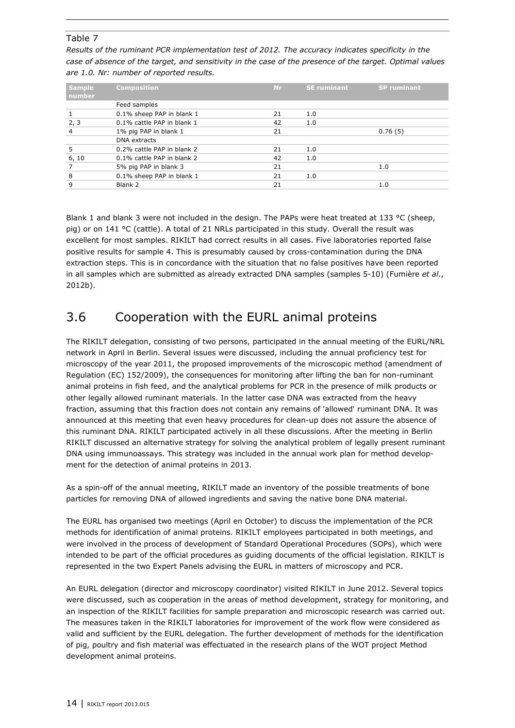#### Table 7

*Results of the ruminant PCR implementation test of 2012. The accuracy indicates specificity in the case of absence of the target, and sensitivity in the case of the presence of the target. Optimal values are 1.0. Nr: number of reported results.*

| <b>Sample</b><br>number | <b>Composition</b>         | <b>Nr</b> | <b>SE</b> ruminant | <b>SP</b> ruminant |
|-------------------------|----------------------------|-----------|--------------------|--------------------|
|                         | Feed samples               |           |                    |                    |
|                         | 0.1% sheep PAP in blank 1  | 21        | 1.0                |                    |
| 2, 3                    | 0.1% cattle PAP in blank 1 | 42        | 1.0                |                    |
| 4                       | 1% pig PAP in blank 1      | 21        |                    | 0.76(5)            |
|                         | <b>DNA</b> extracts        |           |                    |                    |
| 5                       | 0.2% cattle PAP in blank 2 | 21        | 1.0                |                    |
| 6, 10                   | 0.1% cattle PAP in blank 2 | 42        | 1.0                |                    |
|                         | 5% pig PAP in blank 3      | 21        |                    | 1.0                |
| 8                       | 0.1% sheep PAP in blank 1  | 21        | 1.0                |                    |
| 9                       | Blank 2                    | 21        |                    | 1.0                |

Blank 1 and blank 3 were not included in the design. The PAPs were heat treated at 133 °C (sheep, pig) or on 141 °C (cattle). A total of 21 NRLs participated in this study. Overall the result was excellent for most samples. RIKILT had correct results in all cases. Five laboratories reported false positive results for sample 4. This is presumably caused by cross-contamination during the DNA extraction steps. This is in concordance with the situation that no false positives have been reported in all samples which are submitted as already extracted DNA samples (samples 5-10) (Fumière *et al*., 2012b).

### <span id="page-15-0"></span>3.6 Cooperation with the EURL animal proteins

The RIKILT delegation, consisting of two persons, participated in the annual meeting of the EURL/NRL network in April in Berlin. Several issues were discussed, including the annual proficiency test for microscopy of the year 2011, the proposed improvements of the microscopic method (amendment of Regulation (EC) 152/2009), the consequences for monitoring after lifting the ban for non-ruminant animal proteins in fish feed, and the analytical problems for PCR in the presence of milk products or other legally allowed ruminant materials. In the latter case DNA was extracted from the heavy fraction, assuming that this fraction does not contain any remains of 'allowed' ruminant DNA. It was announced at this meeting that even heavy procedures for clean-up does not assure the absence of this ruminant DNA. RIKILT participated actively in all these discussions. After the meeting in Berlin RIKILT discussed an alternative strategy for solving the analytical problem of legally present ruminant DNA using immunoassays. This strategy was included in the annual work plan for method development for the detection of animal proteins in 2013.

As a spin-off of the annual meeting, RIKILT made an inventory of the possible treatments of bone particles for removing DNA of allowed ingredients and saving the native bone DNA material.

The EURL has organised two meetings (April en October) to discuss the implementation of the PCR methods for identification of animal proteins. RIKILT employees participated in both meetings, and were involved in the process of development of Standard Operational Procedures (SOPs), which were intended to be part of the official procedures as guiding documents of the official legislation. RIKILT is represented in the two Expert Panels advising the EURL in matters of microscopy and PCR.

An EURL delegation (director and microscopy coordinator) visited RIKILT in June 2012. Several topics were discussed, such as cooperation in the areas of method development, strategy for monitoring, and an inspection of the RIKILT facilities for sample preparation and microscopic research was carried out. The measures taken in the RIKILT laboratories for improvement of the work flow were considered as valid and sufficient by the EURL delegation. The further development of methods for the identification of pig, poultry and fish material was effectuated in the research plans of the WOT project Method development animal proteins.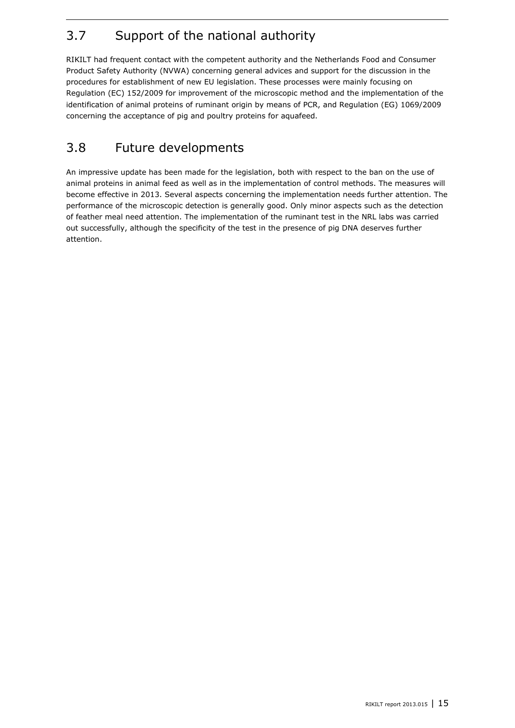## <span id="page-16-0"></span>3.7 Support of the national authority

RIKILT had frequent contact with the competent authority and the Netherlands Food and Consumer Product Safety Authority (NVWA) concerning general advices and support for the discussion in the procedures for establishment of new EU legislation. These processes were mainly focusing on Regulation (EC) 152/2009 for improvement of the microscopic method and the implementation of the identification of animal proteins of ruminant origin by means of PCR, and Regulation (EG) 1069/2009 concerning the acceptance of pig and poultry proteins for aquafeed.

## <span id="page-16-1"></span>3.8 Future developments

An impressive update has been made for the legislation, both with respect to the ban on the use of animal proteins in animal feed as well as in the implementation of control methods. The measures will become effective in 2013. Several aspects concerning the implementation needs further attention. The performance of the microscopic detection is generally good. Only minor aspects such as the detection of feather meal need attention. The implementation of the ruminant test in the NRL labs was carried out successfully, although the specificity of the test in the presence of pig DNA deserves further attention.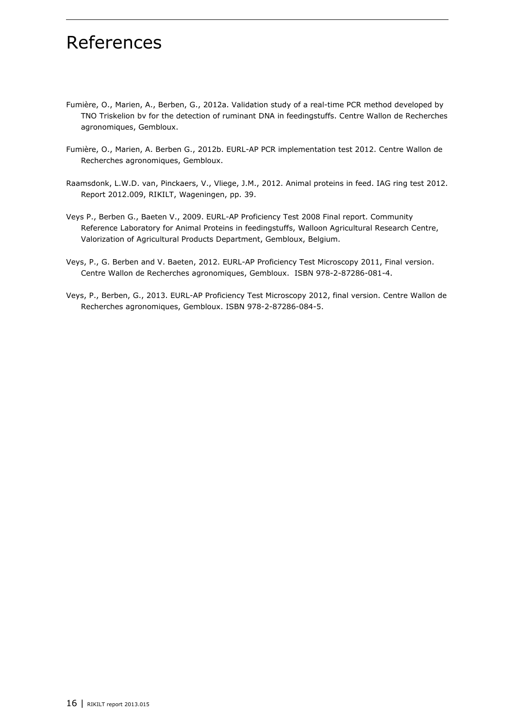## <span id="page-17-0"></span>References

- Fumière, O., Marien, A., Berben, G., 2012a. Validation study of a real-time PCR method developed by TNO Triskelion bv for the detection of ruminant DNA in feedingstuffs. Centre Wallon de Recherches agronomiques, Gembloux.
- Fumière, O., Marien, A. Berben G., 2012b. EURL-AP PCR implementation test 2012. Centre Wallon de Recherches agronomiques, Gembloux.
- Raamsdonk, L.W.D. van, Pinckaers, V., Vliege, J.M., 2012. Animal proteins in feed. IAG ring test 2012. Report 2012.009, RIKILT, Wageningen, pp. 39.
- Veys P., Berben G., Baeten V., 2009. EURL-AP Proficiency Test 2008 Final report. Community Reference Laboratory for Animal Proteins in feedingstuffs, Walloon Agricultural Research Centre, Valorization of Agricultural Products Department, Gembloux, Belgium.
- Veys, P., G. Berben and V. Baeten, 2012. EURL-AP Proficiency Test Microscopy 2011, Final version. Centre Wallon de Recherches agronomiques, Gembloux. ISBN 978-2-87286-081-4.
- Veys, P., Berben, G., 2013. EURL-AP Proficiency Test Microscopy 2012, final version. Centre Wallon de Recherches agronomiques, Gembloux. ISBN 978-2-87286-084-5.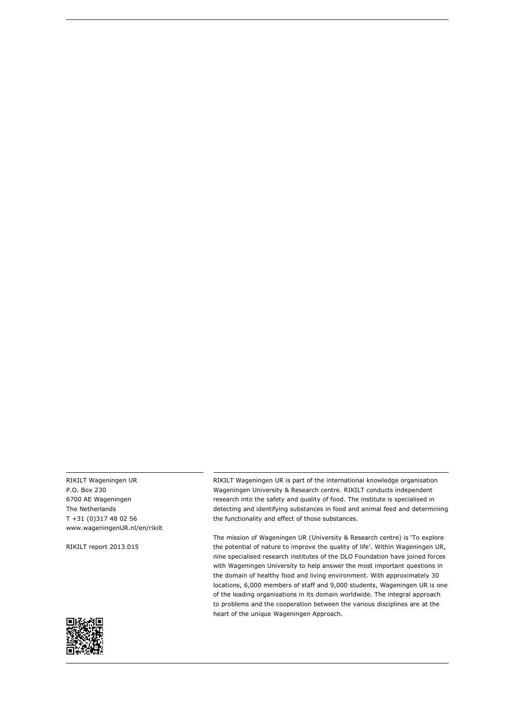RIKILT Wageningen UR P.O. Box 230 6700 AE Wageningen The Netherlands T +31 (0)317 48 02 56 [www.wageningenUR.nl/en/rikilt](http://www.wageningenur.nl/en/rikilt)

RIKILT report 2013.015

RIKILT Wageningen UR is part of the international knowledge organisation Wageningen University & Research centre. RIKILT conducts independent research into the safety and quality of food. The institute is specialised in detecting and identifying substances in food and animal feed and determining the functionality and effect of those substances.

The mission of Wageningen UR (University & Research centre) is 'To explore the potential of nature to improve the quality of life'. Within Wageningen UR, nine specialised research institutes of the DLO Foundation have joined forces with Wageningen University to help answer the most important questions in the domain of healthy food and living environment. With approximately 30 locations, 6,000 members of staff and 9,000 students, Wageningen UR is one of the leading organisations in its domain worldwide. The integral approach to problems and the cooperation between the various disciplines are at the heart of the unique Wageningen Approach.